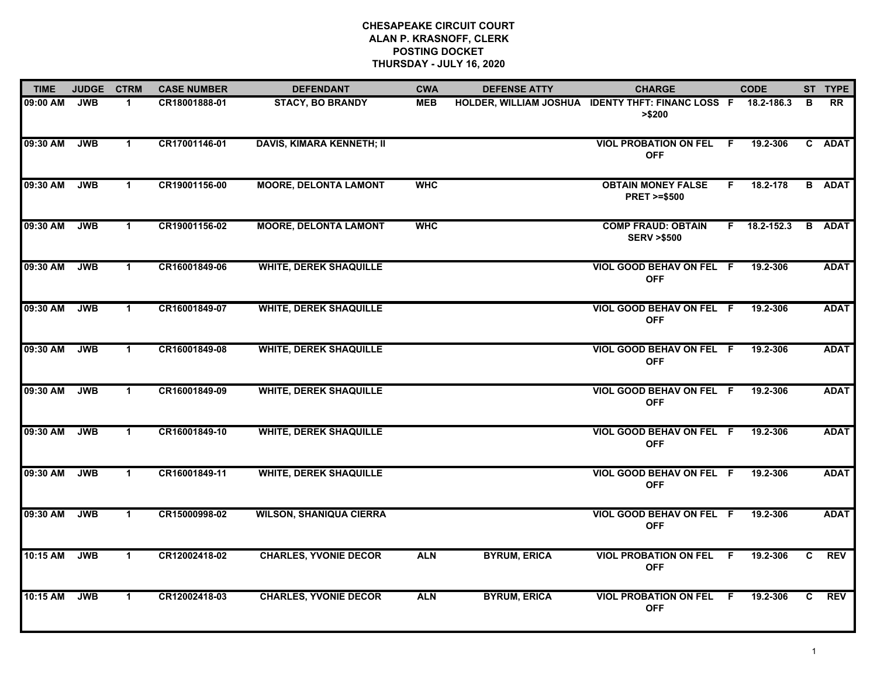| <b>TIME</b> | <b>JUDGE</b> | <b>CTRM</b>          | <b>CASE NUMBER</b> | <b>DEFENDANT</b>                 | <b>CWA</b> | <b>DEFENSE ATTY</b> | <b>CHARGE</b>                                                |                | <b>CODE</b>        |                | ST TYPE       |
|-------------|--------------|----------------------|--------------------|----------------------------------|------------|---------------------|--------------------------------------------------------------|----------------|--------------------|----------------|---------------|
| 09:00 AM    | <b>JWB</b>   | 1.                   | CR18001888-01      | <b>STACY, BO BRANDY</b>          | <b>MEB</b> |                     | HOLDER, WILLIAM JOSHUA IDENTY THFT: FINANC LOSS F<br>> \$200 |                | 18.2-186.3         | B              | <b>RR</b>     |
| 09:30 AM    | <b>JWB</b>   | $\mathbf{1}$         | CR17001146-01      | <b>DAVIS, KIMARA KENNETH; II</b> |            |                     | <b>VIOL PROBATION ON FEL</b><br><b>OFF</b>                   | $\overline{F}$ | 19.2-306           |                | C ADAT        |
| 09:30 AM    | <b>JWB</b>   | $\blacktriangleleft$ | CR19001156-00      | <b>MOORE, DELONTA LAMONT</b>     | <b>WHC</b> |                     | <b>OBTAIN MONEY FALSE</b><br><b>PRET &gt;=\$500</b>          | F.             | 18.2-178           |                | <b>B</b> ADAT |
| 09:30 AM    | <b>JWB</b>   | $\mathbf{1}$         | CR19001156-02      | <b>MOORE, DELONTA LAMONT</b>     | <b>WHC</b> |                     | <b>COMP FRAUD: OBTAIN</b><br><b>SERV &gt;\$500</b>           |                | $F = 18.2 - 152.3$ |                | <b>B</b> ADAT |
| 09:30 AM    | <b>JWB</b>   | $\mathbf{1}$         | CR16001849-06      | <b>WHITE, DEREK SHAQUILLE</b>    |            |                     | VIOL GOOD BEHAV ON FEL F<br><b>OFF</b>                       |                | 19.2-306           |                | <b>ADAT</b>   |
| 09:30 AM    | <b>JWB</b>   | $\mathbf{1}$         | CR16001849-07      | <b>WHITE, DEREK SHAQUILLE</b>    |            |                     | VIOL GOOD BEHAV ON FEL F<br><b>OFF</b>                       |                | 19.2-306           |                | <b>ADAT</b>   |
| 09:30 AM    | <b>JWB</b>   | $\blacktriangleleft$ | CR16001849-08      | <b>WHITE, DEREK SHAQUILLE</b>    |            |                     | VIOL GOOD BEHAV ON FEL F<br><b>OFF</b>                       |                | 19.2-306           |                | <b>ADAT</b>   |
| 09:30 AM    | <b>JWB</b>   | $\mathbf{1}$         | CR16001849-09      | <b>WHITE, DEREK SHAQUILLE</b>    |            |                     | VIOL GOOD BEHAV ON FEL F<br><b>OFF</b>                       |                | 19.2-306           |                | <b>ADAT</b>   |
| 09:30 AM    | <b>JWB</b>   | $\blacktriangleleft$ | CR16001849-10      | <b>WHITE, DEREK SHAQUILLE</b>    |            |                     | VIOL GOOD BEHAV ON FEL F<br><b>OFF</b>                       |                | 19.2-306           |                | <b>ADAT</b>   |
| 09:30 AM    | <b>JWB</b>   | $\mathbf{1}$         | CR16001849-11      | <b>WHITE, DEREK SHAQUILLE</b>    |            |                     | VIOL GOOD BEHAV ON FEL F<br><b>OFF</b>                       |                | 19.2-306           |                | <b>ADAT</b>   |
| 09:30 AM    | <b>JWB</b>   | $\mathbf 1$          | CR15000998-02      | <b>WILSON, SHANIQUA CIERRA</b>   |            |                     | VIOL GOOD BEHAV ON FEL F<br><b>OFF</b>                       |                | 19.2-306           |                | <b>ADAT</b>   |
| 10:15 AM    | <b>JWB</b>   | $\mathbf{1}$         | CR12002418-02      | <b>CHARLES, YVONIE DECOR</b>     | <b>ALN</b> | <b>BYRUM, ERICA</b> | <b>VIOL PROBATION ON FEL</b><br><b>OFF</b>                   | $\overline{F}$ | 19.2-306           | $\overline{c}$ | <b>REV</b>    |
| 10:15 AM    | <b>JWB</b>   | $\mathbf 1$          | CR12002418-03      | <b>CHARLES, YVONIE DECOR</b>     | <b>ALN</b> | <b>BYRUM, ERICA</b> | <b>VIOL PROBATION ON FEL F</b><br><b>OFF</b>                 |                | 19.2-306           | C.             | <b>REV</b>    |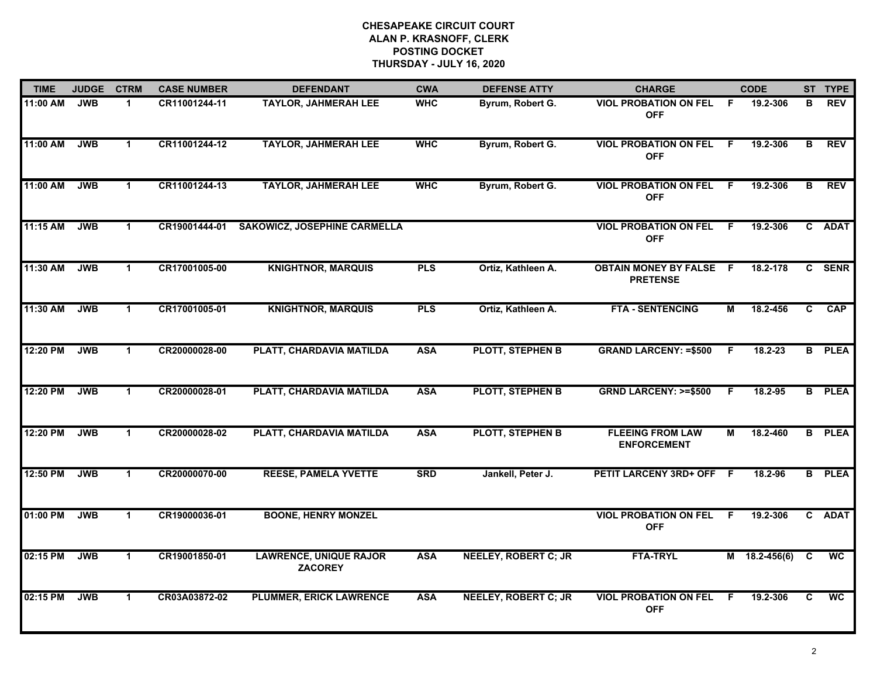| <b>TIME</b> | <b>JUDGE</b> | <b>CTRM</b>          | <b>CASE NUMBER</b> | <b>DEFENDANT</b>                                | <b>CWA</b> | <b>DEFENSE ATTY</b>         | <b>CHARGE</b>                                   |     | <b>CODE</b>     |              | ST TYPE       |
|-------------|--------------|----------------------|--------------------|-------------------------------------------------|------------|-----------------------------|-------------------------------------------------|-----|-----------------|--------------|---------------|
| 11:00 AM    | <b>JWB</b>   | $\mathbf{1}$         | CR11001244-11      | <b>TAYLOR, JAHMERAH LEE</b>                     | <b>WHC</b> | Byrum, Robert G.            | <b>VIOL PROBATION ON FEL</b><br><b>OFF</b>      | - F | 19.2-306        | в            | <b>REV</b>    |
| 11:00 AM    | <b>JWB</b>   | $\blacktriangleleft$ | CR11001244-12      | <b>TAYLOR, JAHMERAH LEE</b>                     | <b>WHC</b> | Byrum, Robert G.            | <b>VIOL PROBATION ON FEL</b><br><b>OFF</b>      | - F | 19.2-306        | в            | <b>REV</b>    |
| 11:00 AM    | <b>JWB</b>   | $\mathbf{1}$         | CR11001244-13      | <b>TAYLOR, JAHMERAH LEE</b>                     | <b>WHC</b> | Byrum, Robert G.            | <b>VIOL PROBATION ON FEL</b><br><b>OFF</b>      | -F  | 19.2-306        | в            | <b>REV</b>    |
| 11:15 AM    | <b>JWB</b>   | $\blacktriangleleft$ | CR19001444-01      | <b>SAKOWICZ, JOSEPHINE CARMELLA</b>             |            |                             | <b>VIOL PROBATION ON FEL F</b><br><b>OFF</b>    |     | 19.2-306        |              | C ADAT        |
| 11:30 AM    | <b>JWB</b>   | $\blacktriangleleft$ | CR17001005-00      | <b>KNIGHTNOR, MARQUIS</b>                       | <b>PLS</b> | Ortiz, Kathleen A.          | <b>OBTAIN MONEY BY FALSE</b><br><b>PRETENSE</b> | - F | 18.2-178        | $\mathbf{c}$ | <b>SENR</b>   |
| 11:30 AM    | <b>JWB</b>   | $\mathbf{1}$         | CR17001005-01      | <b>KNIGHTNOR, MARQUIS</b>                       | <b>PLS</b> | Ortiz, Kathleen A.          | <b>FTA - SENTENCING</b>                         | M   | 18.2-456        | C.           | CAP           |
| 12:20 PM    | <b>JWB</b>   | $\overline{1}$       | CR20000028-00      | PLATT, CHARDAVIA MATILDA                        | <b>ASA</b> | <b>PLOTT, STEPHEN B</b>     | <b>GRAND LARCENY: = \$500</b>                   | F.  | $18.2 - 23$     |              | <b>B</b> PLEA |
| 12:20 PM    | <b>JWB</b>   | $\mathbf 1$          | CR20000028-01      | PLATT, CHARDAVIA MATILDA                        | <b>ASA</b> | <b>PLOTT, STEPHEN B</b>     | <b>GRND LARCENY: &gt;=\$500</b>                 | -F  | 18.2-95         |              | <b>B</b> PLEA |
| 12:20 PM    | <b>JWB</b>   | $\mathbf 1$          | CR20000028-02      | PLATT, CHARDAVIA MATILDA                        | <b>ASA</b> | <b>PLOTT, STEPHEN B</b>     | <b>FLEEING FROM LAW</b><br><b>ENFORCEMENT</b>   | м   | 18.2-460        |              | <b>B</b> PLEA |
| 12:50 PM    | <b>JWB</b>   | $\mathbf{1}$         | CR20000070-00      | <b>REESE, PAMELA YVETTE</b>                     | <b>SRD</b> | Jankell, Peter J.           | PETIT LARCENY 3RD+ OFF F                        |     | 18.2-96         |              | <b>B</b> PLEA |
| 01:00 PM    | <b>JWB</b>   | $\mathbf{1}$         | CR19000036-01      | <b>BOONE, HENRY MONZEL</b>                      |            |                             | <b>VIOL PROBATION ON FEL F</b><br><b>OFF</b>    |     | 19.2-306        |              | C ADAT        |
| 02:15 PM    | <b>JWB</b>   | $\mathbf{1}$         | CR19001850-01      | <b>LAWRENCE, UNIQUE RAJOR</b><br><b>ZACOREY</b> | <b>ASA</b> | <b>NEELEY, ROBERT C; JR</b> | <b>FTA-TRYL</b>                                 |     | $M$ 18.2-456(6) | C            | <b>WC</b>     |
| 02:15 PM    | <b>JWB</b>   | $\mathbf 1$          | CR03A03872-02      | <b>PLUMMER, ERICK LAWRENCE</b>                  | <b>ASA</b> | <b>NEELEY, ROBERT C; JR</b> | <b>VIOL PROBATION ON FEL</b><br><b>OFF</b>      | -F  | 19.2-306        | C            | <b>WC</b>     |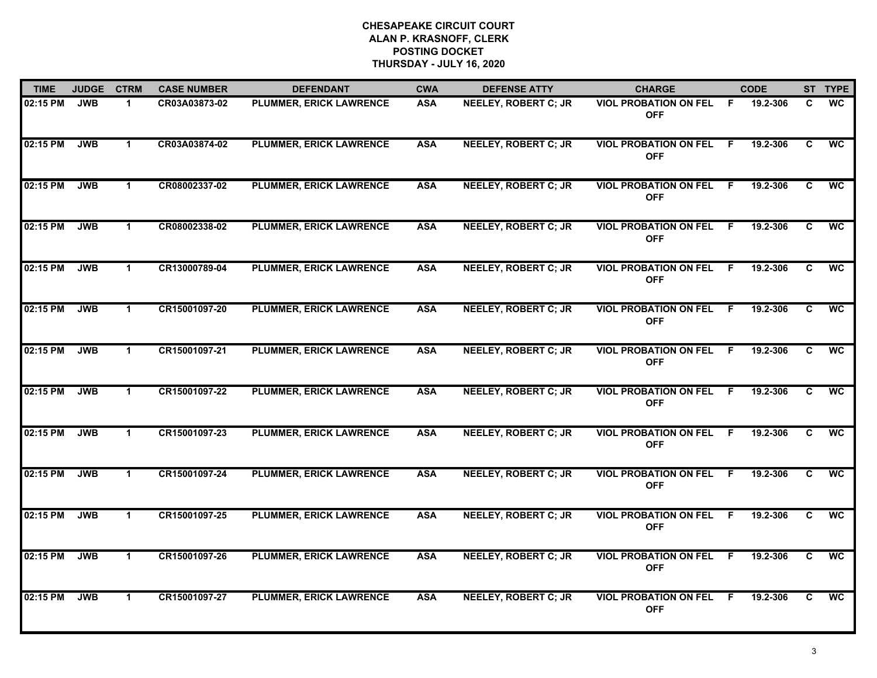| <b>TIME</b> | <b>JUDGE</b> | <b>CTRM</b>          | <b>CASE NUMBER</b> | <b>DEFENDANT</b>               | <b>CWA</b> | <b>DEFENSE ATTY</b>         | <b>CHARGE</b>                                |     | <b>CODE</b> |    | ST TYPE                  |
|-------------|--------------|----------------------|--------------------|--------------------------------|------------|-----------------------------|----------------------------------------------|-----|-------------|----|--------------------------|
| 02:15 PM    | <b>JWB</b>   | 1                    | CR03A03873-02      | <b>PLUMMER, ERICK LAWRENCE</b> | <b>ASA</b> | <b>NEELEY, ROBERT C; JR</b> | <b>VIOL PROBATION ON FEL</b><br><b>OFF</b>   | -F  | 19.2-306    | C  | <b>WC</b>                |
| 02:15 PM    | <b>JWB</b>   | $\mathbf 1$          | CR03A03874-02      | <b>PLUMMER, ERICK LAWRENCE</b> | <b>ASA</b> | <b>NEELEY, ROBERT C; JR</b> | <b>VIOL PROBATION ON FEL</b><br><b>OFF</b>   | F   | 19.2-306    | C  | <b>WC</b>                |
| 02:15 PM    | <b>JWB</b>   | $\mathbf 1$          | CR08002337-02      | <b>PLUMMER, ERICK LAWRENCE</b> | <b>ASA</b> | <b>NEELEY, ROBERT C; JR</b> | <b>VIOL PROBATION ON FEL</b><br><b>OFF</b>   | -F  | 19.2-306    | C  | <b>WC</b>                |
| 02:15 PM    | <b>JWB</b>   | $\mathbf 1$          | CR08002338-02      | <b>PLUMMER, ERICK LAWRENCE</b> | <b>ASA</b> | <b>NEELEY, ROBERT C; JR</b> | <b>VIOL PROBATION ON FEL F</b><br><b>OFF</b> |     | 19.2-306    | C. | <b>WC</b>                |
| 02:15 PM    | <b>JWB</b>   | $\mathbf 1$          | CR13000789-04      | <b>PLUMMER, ERICK LAWRENCE</b> | <b>ASA</b> | <b>NEELEY, ROBERT C; JR</b> | <b>VIOL PROBATION ON FEL</b><br><b>OFF</b>   | F.  | 19.2-306    | C  | <b>WC</b>                |
| 02:15 PM    | <b>JWB</b>   | $\mathbf 1$          | CR15001097-20      | <b>PLUMMER, ERICK LAWRENCE</b> | <b>ASA</b> | <b>NEELEY, ROBERT C; JR</b> | <b>VIOL PROBATION ON FEL F</b><br><b>OFF</b> |     | 19.2-306    | C. | $\overline{wc}$          |
| 02:15 PM    | <b>JWB</b>   | $\mathbf 1$          | CR15001097-21      | PLUMMER, ERICK LAWRENCE        | <b>ASA</b> | <b>NEELEY, ROBERT C; JR</b> | <b>VIOL PROBATION ON FEL</b><br><b>OFF</b>   | -F  | 19.2-306    | C  | <b>WC</b>                |
| 02:15 PM    | <b>JWB</b>   | $\blacktriangleleft$ | CR15001097-22      | PLUMMER, ERICK LAWRENCE        | <b>ASA</b> | <b>NEELEY, ROBERT C; JR</b> | <b>VIOL PROBATION ON FEL</b><br><b>OFF</b>   | - F | 19.2-306    | C  | <b>WC</b>                |
| 02:15 PM    | <b>JWB</b>   | 1                    | CR15001097-23      | <b>PLUMMER, ERICK LAWRENCE</b> | <b>ASA</b> | <b>NEELEY, ROBERT C: JR</b> | <b>VIOL PROBATION ON FEL</b><br><b>OFF</b>   | - F | 19.2-306    | C  | <b>WC</b>                |
| 02:15 PM    | <b>JWB</b>   | $\mathbf 1$          | CR15001097-24      | <b>PLUMMER, ERICK LAWRENCE</b> | <b>ASA</b> | <b>NEELEY, ROBERT C; JR</b> | <b>VIOL PROBATION ON FEL</b><br><b>OFF</b>   | F.  | 19.2-306    | C  | <b>WC</b>                |
| 02:15 PM    | <b>JWB</b>   | 1                    | CR15001097-25      | <b>PLUMMER, ERICK LAWRENCE</b> | <b>ASA</b> | <b>NEELEY, ROBERT C; JR</b> | <b>VIOL PROBATION ON FEL</b><br><b>OFF</b>   | - F | 19.2-306    | C  | <b>WC</b>                |
| 02:15 PM    | <b>JWB</b>   | $\mathbf 1$          | CR15001097-26      | <b>PLUMMER, ERICK LAWRENCE</b> | <b>ASA</b> | <b>NEELEY, ROBERT C; JR</b> | <b>VIOL PROBATION ON FEL</b><br><b>OFF</b>   | F.  | 19.2-306    | C. | $\overline{wc}$          |
| 02:15 PM    | <b>JWB</b>   | $\mathbf{1}$         | CR15001097-27      | <b>PLUMMER, ERICK LAWRENCE</b> | <b>ASA</b> | <b>NEELEY, ROBERT C: JR</b> | <b>VIOL PROBATION ON FEL</b><br><b>OFF</b>   | - F | 19.2-306    | C  | $\overline{\mathsf{wc}}$ |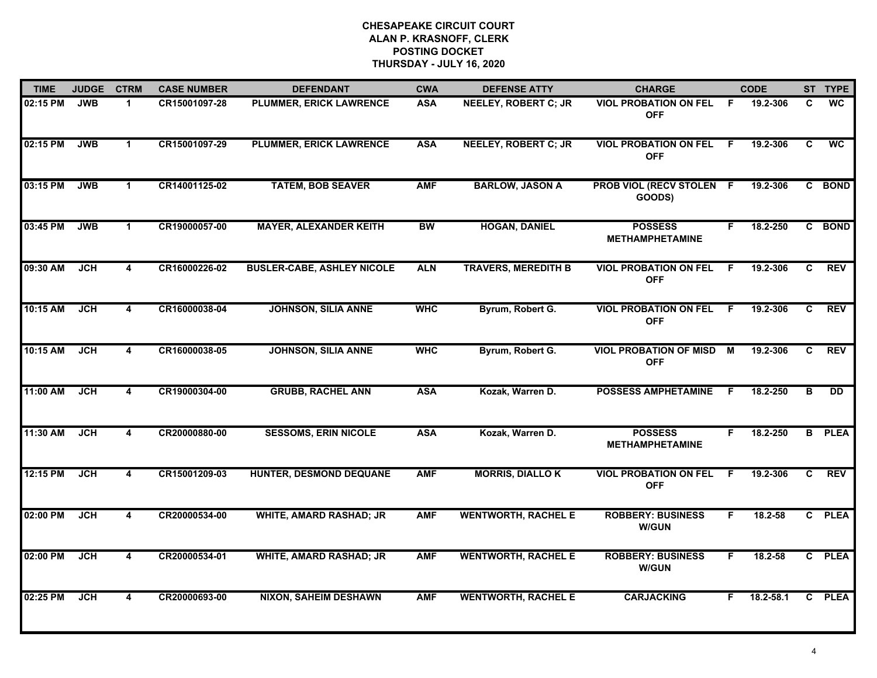| <b>TIME</b> | <b>JUDGE</b> | <b>CTRM</b>             | <b>CASE NUMBER</b> | <b>DEFENDANT</b>                  | <b>CWA</b> | <b>DEFENSE ATTY</b>         | <b>CHARGE</b>                               |                | <b>CODE</b> |                | ST TYPE        |
|-------------|--------------|-------------------------|--------------------|-----------------------------------|------------|-----------------------------|---------------------------------------------|----------------|-------------|----------------|----------------|
| 02:15 PM    | <b>JWB</b>   | 1                       | CR15001097-28      | PLUMMER, ERICK LAWRENCE           | <b>ASA</b> | <b>NEELEY, ROBERT C: JR</b> | <b>VIOL PROBATION ON FEL</b><br><b>OFF</b>  | -F             | 19.2-306    | C              | <b>WC</b>      |
| 02:15 PM    | <b>JWB</b>   | $\mathbf{1}$            | CR15001097-29      | <b>PLUMMER, ERICK LAWRENCE</b>    | <b>ASA</b> | <b>NEELEY, ROBERT C; JR</b> | <b>VIOL PROBATION ON FEL</b><br><b>OFF</b>  | -F.            | 19.2-306    | C              | <b>WC</b>      |
| 03:15 PM    | <b>JWB</b>   | $\mathbf{1}$            | CR14001125-02      | <b>TATEM, BOB SEAVER</b>          | <b>AMF</b> | <b>BARLOW, JASON A</b>      | <b>PROB VIOL (RECV STOLEN F</b><br>GOODS)   |                | 19.2-306    |                | C BOND         |
| 03:45 PM    | <b>JWB</b>   | 1                       | CR19000057-00      | <b>MAYER, ALEXANDER KEITH</b>     | <b>BW</b>  | <b>HOGAN, DANIEL</b>        | <b>POSSESS</b><br><b>METHAMPHETAMINE</b>    | F.             | 18.2-250    |                | C BOND         |
| 09:30 AM    | JCH          | 4                       | CR16000226-02      | <b>BUSLER-CABE, ASHLEY NICOLE</b> | <b>ALN</b> | <b>TRAVERS, MEREDITH B</b>  | <b>VIOL PROBATION ON FEL</b><br><b>OFF</b>  | F.             | 19.2-306    | C.             | <b>REV</b>     |
| 10:15 AM    | <b>JCH</b>   | 4                       | CR16000038-04      | <b>JOHNSON, SILIA ANNE</b>        | <b>WHC</b> | Byrum, Robert G.            | <b>VIOL PROBATION ON FEL</b><br><b>OFF</b>  | - F            | 19.2-306    | C.             | <b>REV</b>     |
| 10:15 AM    | <b>JCH</b>   | $\overline{4}$          | CR16000038-05      | <b>JOHNSON, SILIA ANNE</b>        | <b>WHC</b> | Byrum, Robert G.            | <b>VIOL PROBATION OF MISD</b><br><b>OFF</b> | $\overline{M}$ | 19.2-306    | $\overline{c}$ | <b>REV</b>     |
| 11:00 AM    | JCH          | 4                       | CR19000304-00      | <b>GRUBB, RACHEL ANN</b>          | <b>ASA</b> | Kozak, Warren D.            | <b>POSSESS AMPHETAMINE</b>                  | F              | 18.2-250    | в              | $\overline{D}$ |
| 11:30 AM    | <b>JCH</b>   | 4                       | CR20000880-00      | <b>SESSOMS, ERIN NICOLE</b>       | <b>ASA</b> | Kozak, Warren D.            | <b>POSSESS</b><br><b>METHAMPHETAMINE</b>    | F.             | 18.2-250    |                | <b>B</b> PLEA  |
| 12:15 PM    | JCH          | $\overline{\mathbf{4}}$ | CR15001209-03      | <b>HUNTER, DESMOND DEQUANE</b>    | <b>AMF</b> | <b>MORRIS, DIALLOK</b>      | <b>VIOL PROBATION ON FEL</b><br><b>OFF</b>  | E              | 19.2-306    | C              | <b>REV</b>     |
| 02:00 PM    | <b>JCH</b>   | $\overline{\mathbf{4}}$ | CR20000534-00      | <b>WHITE, AMARD RASHAD; JR</b>    | <b>AMF</b> | <b>WENTWORTH, RACHEL E</b>  | <b>ROBBERY: BUSINESS</b><br><b>W/GUN</b>    | F.             | 18.2-58     |                | C PLEA         |
| 02:00 PM    | <b>JCH</b>   | $\overline{\mathbf{4}}$ | CR20000534-01      | <b>WHITE, AMARD RASHAD; JR</b>    | <b>AMF</b> | <b>WENTWORTH, RACHEL E</b>  | <b>ROBBERY: BUSINESS</b><br><b>W/GUN</b>    | F              | $18.2 - 58$ |                | C PLEA         |
| 02:25 PM    | JCH          | 4                       | CR20000693-00      | <b>NIXON, SAHEIM DESHAWN</b>      | <b>AMF</b> | <b>WENTWORTH, RACHEL E</b>  | <b>CARJACKING</b>                           | F.             | 18.2-58.1   |                | C PLEA         |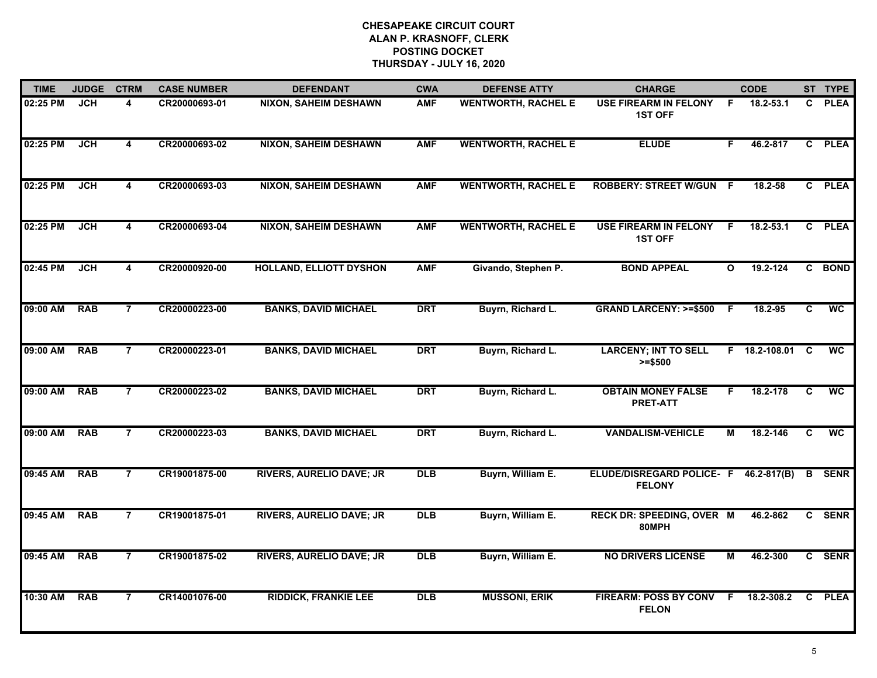| <b>TIME</b> | <b>JUDGE</b> | <b>CTRM</b>    | <b>CASE NUMBER</b> | <b>DEFENDANT</b>                | <b>CWA</b> | <b>DEFENSE ATTY</b>        | <b>CHARGE</b>                                  |              | <b>CODE</b>     |                | ST TYPE     |
|-------------|--------------|----------------|--------------------|---------------------------------|------------|----------------------------|------------------------------------------------|--------------|-----------------|----------------|-------------|
| 02:25 PM    | <b>JCH</b>   | 4              | CR20000693-01      | <b>NIXON, SAHEIM DESHAWN</b>    | <b>AMF</b> | <b>WENTWORTH, RACHEL E</b> | USE FIREARM IN FELONY<br><b>1ST OFF</b>        | - F          | 18.2-53.1       | C.             | <b>PLEA</b> |
| 02:25 PM    | JCH          | 4              | CR20000693-02      | <b>NIXON, SAHEIM DESHAWN</b>    | <b>AMF</b> | <b>WENTWORTH, RACHEL E</b> | <b>ELUDE</b>                                   | F.           | 46.2-817        | $\overline{c}$ | <b>PLEA</b> |
| 02:25 PM    | JCH          | 4              | CR20000693-03      | <b>NIXON, SAHEIM DESHAWN</b>    | <b>AMF</b> | <b>WENTWORTH, RACHEL E</b> | <b>ROBBERY: STREET W/GUN F</b>                 |              | 18.2-58         |                | C PLEA      |
| 02:25 PM    | <b>JCH</b>   | 4              | CR20000693-04      | <b>NIXON, SAHEIM DESHAWN</b>    | <b>AMF</b> | <b>WENTWORTH, RACHEL E</b> | <b>USE FIREARM IN FELONY</b><br><b>1ST OFF</b> | -F           | $18.2 - 53.1$   |                | C PLEA      |
| 02:45 PM    | <b>JCH</b>   | 4              | CR20000920-00      | <b>HOLLAND, ELLIOTT DYSHON</b>  | <b>AMF</b> | Givando, Stephen P.        | <b>BOND APPEAL</b>                             | $\mathbf{o}$ | 19.2-124        |                | C BOND      |
| 09:00 AM    | <b>RAB</b>   | $\overline{7}$ | CR20000223-00      | <b>BANKS, DAVID MICHAEL</b>     | <b>DRT</b> | Buyrn, Richard L.          | <b>GRAND LARCENY: &gt;=\$500</b>               | -F           | 18.2-95         | C              | <b>WC</b>   |
| 09:00 AM    | <b>RAB</b>   | $\overline{7}$ | CR20000223-01      | <b>BANKS, DAVID MICHAEL</b>     | <b>DRT</b> | Buyrn, Richard L.          | <b>LARCENY; INT TO SELL</b><br>$>= $500$       |              | $F$ 18.2-108.01 | C              | <b>WC</b>   |
| 09:00 AM    | <b>RAB</b>   | $\overline{7}$ | CR20000223-02      | <b>BANKS, DAVID MICHAEL</b>     | <b>DRT</b> | Buyrn, Richard L.          | <b>OBTAIN MONEY FALSE</b><br><b>PRET-ATT</b>   | F            | 18.2-178        | C              | <b>WC</b>   |
| 09:00 AM    | <b>RAB</b>   | $\overline{7}$ | CR20000223-03      | <b>BANKS, DAVID MICHAEL</b>     | <b>DRT</b> | Buyrn, Richard L.          | <b>VANDALISM-VEHICLE</b>                       | М            | 18.2-146        | C              | <b>WC</b>   |
| 09:45 AM    | <b>RAB</b>   | $\overline{7}$ | CR19001875-00      | <b>RIVERS, AURELIO DAVE; JR</b> | <b>DLB</b> | Buyrn, William E.          | ELUDE/DISREGARD POLICE- F<br><b>FELONY</b>     |              | $46.2 - 817(B)$ | B              | <b>SENR</b> |
| 09:45 AM    | <b>RAB</b>   | $\overline{7}$ | CR19001875-01      | <b>RIVERS, AURELIO DAVE; JR</b> | DLB        | Buyrn, William E.          | <b>RECK DR: SPEEDING, OVER M</b><br>80MPH      |              | 46.2-862        | $\mathbf{C}$   | <b>SENR</b> |
| 09:45 AM    | <b>RAB</b>   | $\overline{7}$ | CR19001875-02      | <b>RIVERS, AURELIO DAVE; JR</b> | DLB        | Buyrn, William E.          | <b>NO DRIVERS LICENSE</b>                      | М            | 46.2-300        |                | C SENR      |
| 10:30 AM    | <b>RAB</b>   | $\overline{7}$ | CR14001076-00      | <b>RIDDICK, FRANKIE LEE</b>     | DLB        | <b>MUSSONI, ERIK</b>       | FIREARM: POSS BY CONV F<br><b>FELON</b>        |              | 18.2-308.2      | $\mathbf{c}$   | <b>PLEA</b> |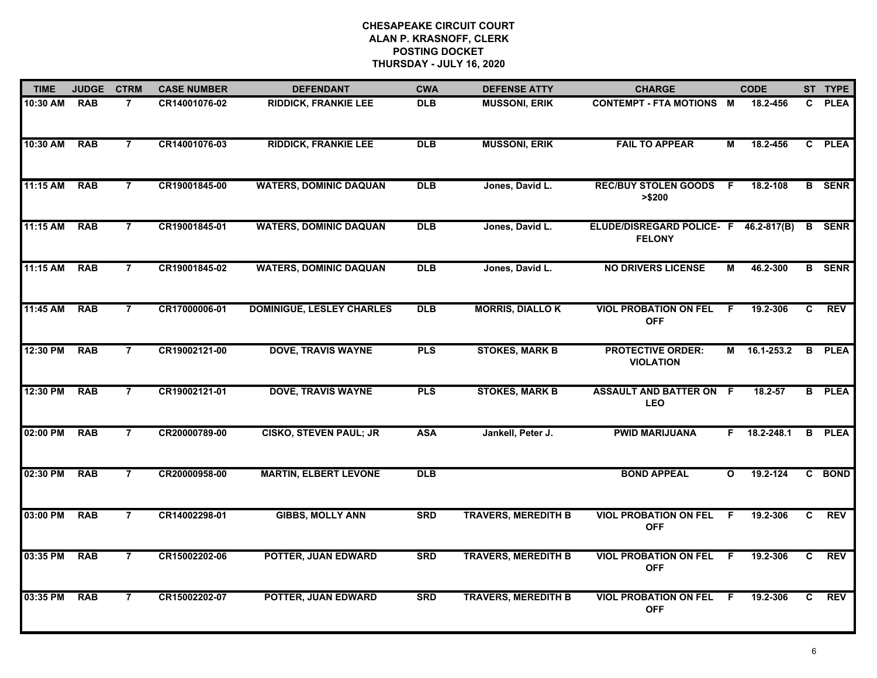| <b>TIME</b> | <b>JUDGE</b> | <b>CTRM</b>    | <b>CASE NUMBER</b> | <b>DEFENDANT</b>                 | <b>CWA</b> | <b>DEFENSE ATTY</b>        | <b>CHARGE</b>                                          |                | <b>CODE</b> |                | ST TYPE       |
|-------------|--------------|----------------|--------------------|----------------------------------|------------|----------------------------|--------------------------------------------------------|----------------|-------------|----------------|---------------|
| 10:30 AM    | <b>RAB</b>   | $\overline{7}$ | CR14001076-02      | <b>RIDDICK, FRANKIE LEE</b>      | <b>DLB</b> | <b>MUSSONI, ERIK</b>       | <b>CONTEMPT - FTA MOTIONS M</b>                        |                | 18.2-456    | $\mathbf{c}$   | <b>PLEA</b>   |
| 10:30 AM    | <b>RAB</b>   | $\overline{7}$ | CR14001076-03      | <b>RIDDICK, FRANKIE LEE</b>      | DLB        | <b>MUSSONI, ERIK</b>       | <b>FAIL TO APPEAR</b>                                  | М              | 18.2-456    |                | C PLEA        |
| 11:15 AM    | <b>RAB</b>   | $\overline{7}$ | CR19001845-00      | <b>WATERS, DOMINIC DAQUAN</b>    | <b>DLB</b> | Jones, David L.            | <b>REC/BUY STOLEN GOODS</b><br>> \$200                 | F              | 18.2-108    |                | <b>B</b> SENR |
| 11:15 AM    | <b>RAB</b>   | 7              | CR19001845-01      | <b>WATERS, DOMINIC DAQUAN</b>    | <b>DLB</b> | Jones, David L.            | ELUDE/DISREGARD POLICE- F 46.2-817(B)<br><b>FELONY</b> |                |             |                | <b>B</b> SENR |
| 11:15 AM    | <b>RAB</b>   | $\overline{7}$ | CR19001845-02      | <b>WATERS, DOMINIC DAQUAN</b>    | <b>DLB</b> | Jones, David L.            | <b>NO DRIVERS LICENSE</b>                              | М              | 46.2-300    |                | <b>B</b> SENR |
| 11:45 AM    | <b>RAB</b>   | $\overline{7}$ | CR17000006-01      | <b>DOMINIGUE, LESLEY CHARLES</b> | <b>DLB</b> | <b>MORRIS, DIALLO K</b>    | <b>VIOL PROBATION ON FEL</b><br><b>OFF</b>             | -F             | 19.2-306    | $\mathbf{c}$   | REV           |
| 12:30 PM    | <b>RAB</b>   | $\overline{7}$ | CR19002121-00      | <b>DOVE, TRAVIS WAYNE</b>        | PLS        | <b>STOKES, MARK B</b>      | <b>PROTECTIVE ORDER:</b><br><b>VIOLATION</b>           | $\overline{M}$ | 16.1-253.2  | $\overline{B}$ | <b>PLEA</b>   |
| 12:30 PM    | <b>RAB</b>   | $\overline{7}$ | CR19002121-01      | <b>DOVE, TRAVIS WAYNE</b>        | <b>PLS</b> | <b>STOKES, MARK B</b>      | <b>ASSAULT AND BATTER ON F</b><br><b>LEO</b>           |                | 18.2-57     |                | <b>B</b> PLEA |
| 02:00 PM    | <b>RAB</b>   | $\overline{7}$ | CR20000789-00      | <b>CISKO, STEVEN PAUL; JR</b>    | <b>ASA</b> | Jankell, Peter J.          | <b>PWID MARIJUANA</b>                                  | F.             | 18.2-248.1  |                | <b>B</b> PLEA |
| 02:30 PM    | <b>RAB</b>   | $\overline{7}$ | CR20000958-00      | <b>MARTIN, ELBERT LEVONE</b>     | <b>DLB</b> |                            | <b>BOND APPEAL</b>                                     | $\mathbf{o}$   | 19.2-124    |                | C BOND        |
| 03:00 PM    | <b>RAB</b>   | $\overline{7}$ | CR14002298-01      | <b>GIBBS, MOLLY ANN</b>          | <b>SRD</b> | <b>TRAVERS, MEREDITH B</b> | <b>VIOL PROBATION ON FEL</b><br><b>OFF</b>             | -F.            | 19.2-306    | C              | <b>REV</b>    |
| 03:35 PM    | <b>RAB</b>   | $\overline{7}$ | CR15002202-06      | POTTER, JUAN EDWARD              | <b>SRD</b> | <b>TRAVERS, MEREDITH B</b> | <b>VIOL PROBATION ON FEL</b><br><b>OFF</b>             | F.             | 19.2-306    | C              | <b>REV</b>    |
| 03:35 PM    | <b>RAB</b>   | $\overline{7}$ | CR15002202-07      | POTTER, JUAN EDWARD              | <b>SRD</b> | <b>TRAVERS, MEREDITH B</b> | <b>VIOL PROBATION ON FEL</b><br><b>OFF</b>             | -F             | 19.2-306    | C.             | <b>REV</b>    |